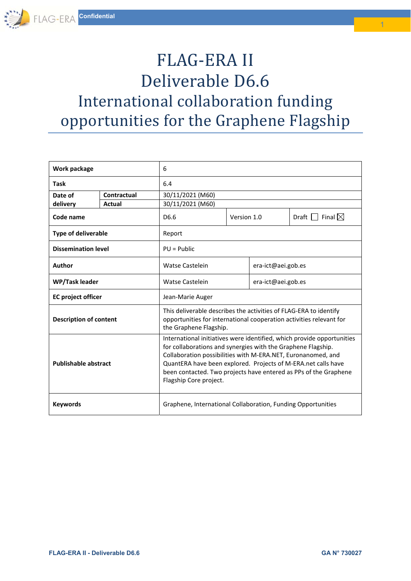# FLAG-ERA II Deliverable D6.6 International collaboration funding opportunities for the Graphene Flagship

| Work package                  |             | 6                                                                                                                                                                                                                                                                                                                                                                     |             |                    |                                |
|-------------------------------|-------------|-----------------------------------------------------------------------------------------------------------------------------------------------------------------------------------------------------------------------------------------------------------------------------------------------------------------------------------------------------------------------|-------------|--------------------|--------------------------------|
| <b>Task</b>                   |             | 6.4                                                                                                                                                                                                                                                                                                                                                                   |             |                    |                                |
| Date of                       | Contractual | 30/11/2021 (M60)                                                                                                                                                                                                                                                                                                                                                      |             |                    |                                |
| delivery                      | Actual      | 30/11/2021 (M60)                                                                                                                                                                                                                                                                                                                                                      |             |                    |                                |
| Code name                     |             | D <sub>6.6</sub>                                                                                                                                                                                                                                                                                                                                                      | Version 1.0 |                    | Draft $\Box$ Final $\boxtimes$ |
| <b>Type of deliverable</b>    |             | Report                                                                                                                                                                                                                                                                                                                                                                |             |                    |                                |
| <b>Dissemination level</b>    |             | $PU = Public$                                                                                                                                                                                                                                                                                                                                                         |             |                    |                                |
| Author                        |             | <b>Watse Castelein</b>                                                                                                                                                                                                                                                                                                                                                |             | era-ict@aei.gob.es |                                |
| WP/Task leader                |             | <b>Watse Castelein</b>                                                                                                                                                                                                                                                                                                                                                |             | era-ict@aei.gob.es |                                |
| <b>EC</b> project officer     |             | Jean-Marie Auger                                                                                                                                                                                                                                                                                                                                                      |             |                    |                                |
| <b>Description of content</b> |             | This deliverable describes the activities of FLAG-ERA to identify<br>opportunities for international cooperation activities relevant for<br>the Graphene Flagship.                                                                                                                                                                                                    |             |                    |                                |
| <b>Publishable abstract</b>   |             | International initiatives were identified, which provide opportunities<br>for collaborations and synergies with the Graphene Flagship.<br>Collaboration possibilities with M-ERA.NET, Euronanomed, and<br>QuantERA have been explored. Projects of M-ERA.net calls have<br>been contacted. Two projects have entered as PPs of the Graphene<br>Flagship Core project. |             |                    |                                |
| <b>Keywords</b>               |             | Graphene, International Collaboration, Funding Opportunities                                                                                                                                                                                                                                                                                                          |             |                    |                                |

1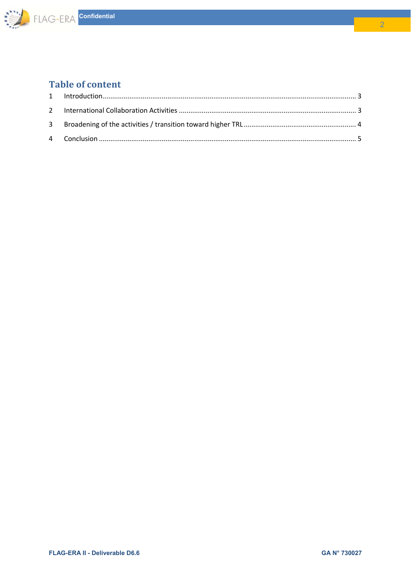

## **Table of content**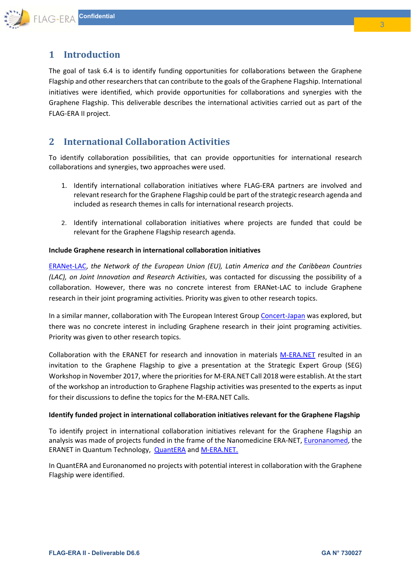

## **1 Introduction**

The goal of task 6.4 is to identify funding opportunities for collaborations between the Graphene Flagship and other researchers that can contribute to the goals of the Graphene Flagship. International initiatives were identified, which provide opportunities for collaborations and synergies with the Graphene Flagship. This deliverable describes the international activities carried out as part of the FLAG‐ERA II project.

## **2 International Collaboration Activities**

To identify collaboration possibilities, that can provide opportunities for international research collaborations and synergies, two approaches were used.

- 1. Identify international collaboration initiatives where FLAG‐ERA partners are involved and relevant research for the Graphene Flagship could be part of the strategic research agenda and included as research themes in calls for international research projects.
- 2. Identify international collaboration initiatives where projects are funded that could be relevant for the Graphene Flagship research agenda.

#### **Include Graphene research in international collaboration initiatives**

ERANet‐LAC, *the Network of the European Union (EU), Latin America and the Caribbean Countries (LAC), on Joint Innovation and Research Activities*, was contacted for discussing the possibility of a collaboration. However, there was no concrete interest from ERANet-LAC to include Graphene research in their joint programing activities. Priority was given to other research topics.

In a similar manner, collaboration with The European Interest Group Concert-Japan was explored, but there was no concrete interest in including Graphene research in their joint programing activities. Priority was given to other research topics.

Collaboration with the ERANET for research and innovation in materials M‐ERA.NET resulted in an invitation to the Graphene Flagship to give a presentation at the Strategic Expert Group (SEG) Workshop in November 2017, where the priorities for M‐ERA.NET Call 2018 were establish. At the start of the workshop an introduction to Graphene Flagship activities was presented to the experts as input for their discussions to define the topics for the M‐ERA.NET Calls.

#### **Identify funded project in international collaboration initiatives relevant for the Graphene Flagship**

To identify project in international collaboration initiatives relevant for the Graphene Flagship an analysis was made of projects funded in the frame of the Nanomedicine ERA‐NET, Euronanomed, the ERANET in Quantum Technology, **QuantERA and M-ERA.NET.** 

In QuantERA and Euronanomed no projects with potential interest in collaboration with the Graphene Flagship were identified.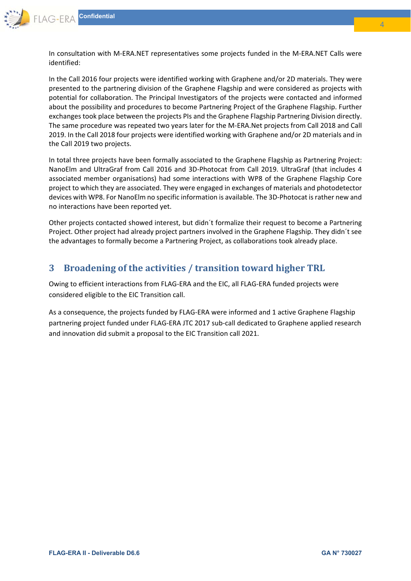

In consultation with M‐ERA.NET representatives some projects funded in the M‐ERA.NET Calls were identified:

In the Call 2016 four projects were identified working with Graphene and/or 2D materials. They were presented to the partnering division of the Graphene Flagship and were considered as projects with potential for collaboration. The Principal Investigators of the projects were contacted and informed about the possibility and procedures to become Partnering Project of the Graphene Flagship. Further exchanges took place between the projects PIs and the Graphene Flagship Partnering Division directly. The same procedure was repeated two years later for the M‐ERA.Net projects from Call 2018 and Call 2019. In the Call 2018 four projects were identified working with Graphene and/or 2D materials and in the Call 2019 two projects.

In total three projects have been formally associated to the Graphene Flagship as Partnering Project: NanoElm and UltraGraf from Call 2016 and 3D‐Photocat from Call 2019. UltraGraf (that includes 4 associated member organisations) had some interactions with WP8 of the Graphene Flagship Core project to which they are associated. They were engaged in exchanges of materials and photodetector devices with WP8. For NanoElm no specific information is available. The 3D‐Photocat is rather new and no interactions have been reported yet.

Other projects contacted showed interest, but didn´t formalize their request to become a Partnering Project. Other project had already project partners involved in the Graphene Flagship. They didn´t see the advantages to formally become a Partnering Project, as collaborations took already place.

## **3 Broadening of the activities / transition toward higher TRL**

Owing to efficient interactions from FLAG‐ERA and the EIC, all FLAG‐ERA funded projects were considered eligible to the EIC Transition call.

As a consequence, the projects funded by FLAG‐ERA were informed and 1 active Graphene Flagship partnering project funded under FLAG‐ERA JTC 2017 sub‐call dedicated to Graphene applied research and innovation did submit a proposal to the EIC Transition call 2021.